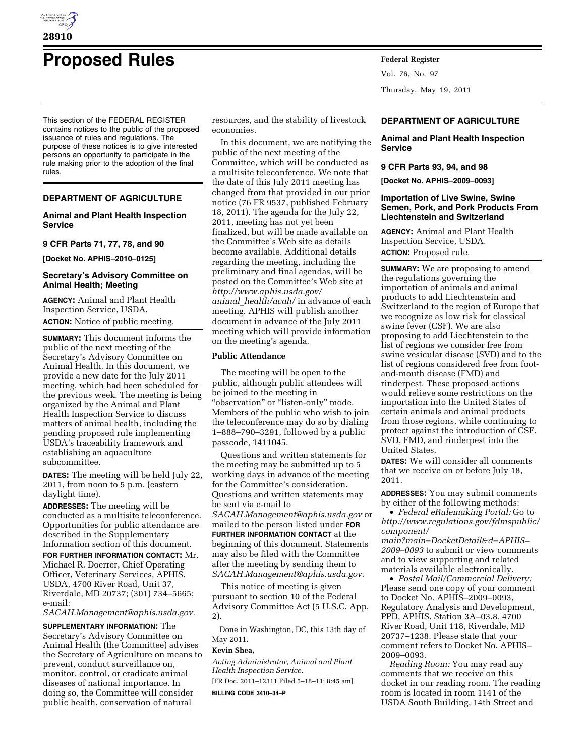

# **Proposed Rules Federal Register**

This section of the FEDERAL REGISTER contains notices to the public of the proposed issuance of rules and regulations. The purpose of these notices is to give interested persons an opportunity to participate in the rule making prior to the adoption of the final rules.

# **DEPARTMENT OF AGRICULTURE**

# **Animal and Plant Health Inspection Service**

# **9 CFR Parts 71, 77, 78, and 90**

**[Docket No. APHIS–2010–0125]** 

# **Secretary's Advisory Committee on Animal Health; Meeting**

**AGENCY:** Animal and Plant Health Inspection Service, USDA. **ACTION:** Notice of public meeting.

**SUMMARY:** This document informs the public of the next meeting of the Secretary's Advisory Committee on Animal Health. In this document, we provide a new date for the July 2011 meeting, which had been scheduled for the previous week. The meeting is being organized by the Animal and Plant Health Inspection Service to discuss matters of animal health, including the pending proposed rule implementing USDA's traceability framework and establishing an aquaculture subcommittee.

**DATES:** The meeting will be held July 22, 2011, from noon to 5 p.m. (eastern daylight time).

**ADDRESSES:** The meeting will be conducted as a multisite teleconference. Opportunities for public attendance are described in the Supplementary Information section of this document.

**FOR FURTHER INFORMATION CONTACT:** Mr. Michael R. Doerrer, Chief Operating Officer, Veterinary Services, APHIS, USDA, 4700 River Road, Unit 37, Riverdale, MD 20737; (301) 734–5665; e-mail:

*[SACAH.Management@aphis.usda.gov.](mailto:SACAH.Management@aphis.usda.gov)* 

**SUPPLEMENTARY INFORMATION:** The Secretary's Advisory Committee on Animal Health (the Committee) advises the Secretary of Agriculture on means to prevent, conduct surveillance on, monitor, control, or eradicate animal diseases of national importance. In doing so, the Committee will consider public health, conservation of natural

resources, and the stability of livestock economies.

In this document, we are notifying the public of the next meeting of the Committee, which will be conducted as a multisite teleconference. We note that the date of this July 2011 meeting has changed from that provided in our prior notice (76 FR 9537, published February 18, 2011). The agenda for the July 22, 2011, meeting has not yet been finalized, but will be made available on the Committee's Web site as details become available. Additional details regarding the meeting, including the preliminary and final agendas, will be posted on the Committee's Web site at *[http://www.aphis.usda.gov/](http://www.aphis.usda.gov/animal_health/acah/) animal*\_*[health/acah/](http://www.aphis.usda.gov/animal_health/acah/)* in advance of each meeting. APHIS will publish another document in advance of the July 2011 meeting which will provide information on the meeting's agenda.

## **Public Attendance**

The meeting will be open to the public, although public attendees will be joined to the meeting in "observation" or "listen-only" mode. Members of the public who wish to join the teleconference may do so by dialing 1–888–790–3291, followed by a public passcode, 1411045.

Questions and written statements for the meeting may be submitted up to 5 working days in advance of the meeting for the Committee's consideration. Questions and written statements may be sent via e-mail to *[SACAH.Management@aphis.usda.gov](mailto:SACAH.Management@aphis.usda.gov)* or mailed to the person listed under **FOR FURTHER INFORMATION CONTACT** at the beginning of this document. Statements may also be filed with the Committee after the meeting by sending them to *[SACAH.Management@aphis.usda.gov.](mailto:SACAH.Management@aphis.usda.gov)* 

This notice of meeting is given pursuant to section 10 of the Federal Advisory Committee Act (5 U.S.C. App. 2).

Done in Washington, DC, this 13th day of May 2011.

# **Kevin Shea,**

*Acting Administrator, Animal and Plant Health Inspection Service.* 

[FR Doc. 2011–12311 Filed 5–18–11; 8:45 am] **BILLING CODE 3410–34–P** 

Vol. 76, No. 97 Thursday, May 19, 2011

# **DEPARTMENT OF AGRICULTURE**

**Animal and Plant Health Inspection Service** 

## **9 CFR Parts 93, 94, and 98**

**[Docket No. APHIS–2009–0093]** 

# **Importation of Live Swine, Swine Semen, Pork, and Pork Products From Liechtenstein and Switzerland**

**AGENCY:** Animal and Plant Health Inspection Service, USDA. **ACTION:** Proposed rule.

**SUMMARY:** We are proposing to amend the regulations governing the importation of animals and animal products to add Liechtenstein and Switzerland to the region of Europe that we recognize as low risk for classical swine fever (CSF). We are also proposing to add Liechtenstein to the list of regions we consider free from swine vesicular disease (SVD) and to the list of regions considered free from footand-mouth disease (FMD) and rinderpest. These proposed actions would relieve some restrictions on the importation into the United States of certain animals and animal products from those regions, while continuing to protect against the introduction of CSF, SVD, FMD, and rinderpest into the United States.

**DATES:** We will consider all comments that we receive on or before July 18, 2011.

**ADDRESSES:** You may submit comments by either of the following methods:

• *Federal eRulemaking Portal:* Go to *[http://www.regulations.gov/fdmspublic/](http://www.regulations.gov/fdmspublic/component/main?main=DocketDetail&d=APHIS-2009-0093) [component/](http://www.regulations.gov/fdmspublic/component/main?main=DocketDetail&d=APHIS-2009-0093)* 

*[main?main=DocketDetail&d=APHIS–](http://www.regulations.gov/fdmspublic/component/main?main=DocketDetail&d=APHIS-2009-0093) [2009–0093](http://www.regulations.gov/fdmspublic/component/main?main=DocketDetail&d=APHIS-2009-0093)* to submit or view comments and to view supporting and related materials available electronically.

• *Postal Mail/Commercial Delivery:*  Please send one copy of your comment to Docket No. APHIS–2009–0093, Regulatory Analysis and Development, PPD, APHIS, Station 3A–03.8, 4700 River Road, Unit 118, Riverdale, MD 20737–1238. Please state that your comment refers to Docket No. APHIS– 2009–0093.

*Reading Room:* You may read any comments that we receive on this docket in our reading room. The reading room is located in room 1141 of the USDA South Building, 14th Street and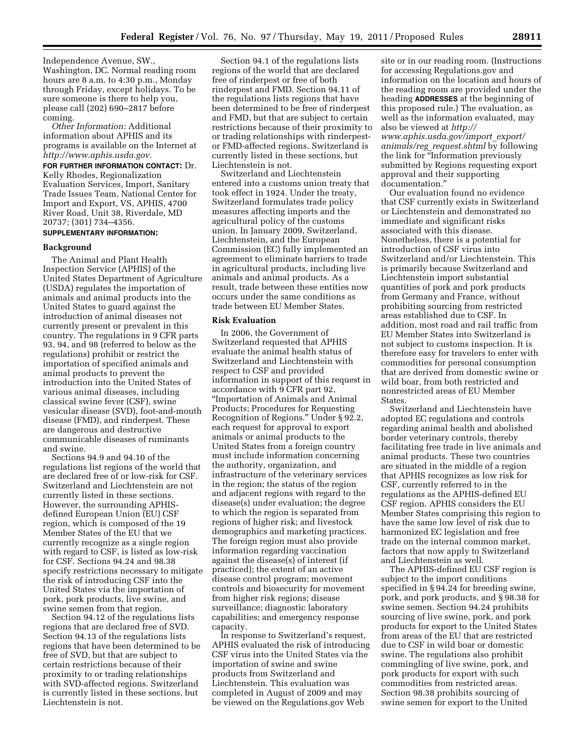Independence Avenue, SW., Washington, DC. Normal reading room hours are 8 a.m. to 4:30 p.m., Monday through Friday, except holidays. To be sure someone is there to help you, please call (202) 690–2817 before coming.

*Other Information:* Additional information about APHIS and its programs is available on the Internet at *[http://www.aphis.usda.gov.](http://www.aphis.usda.gov)* 

## **FOR FURTHER INFORMATION CONTACT:** Dr.

Kelly Rhodes, Regionalization Evaluation Services, Import, Sanitary Trade Issues Team, National Center for Import and Export, VS, APHIS, 4700 River Road, Unit 38, Riverdale, MD 20737; (301) 734–4356.

# **SUPPLEMENTARY INFORMATION:**

## **Background**

The Animal and Plant Health Inspection Service (APHIS) of the United States Department of Agriculture (USDA) regulates the importation of animals and animal products into the United States to guard against the introduction of animal diseases not currently present or prevalent in this country. The regulations in 9 CFR parts 93, 94, and 98 (referred to below as the regulations) prohibit or restrict the importation of specified animals and animal products to prevent the introduction into the United States of various animal diseases, including classical swine fever (CSF), swine vesicular disease (SVD), foot-and-mouth disease (FMD), and rinderpest. These are dangerous and destructive communicable diseases of ruminants and swine.

Sections 94.9 and 94.10 of the regulations list regions of the world that are declared free of or low-risk for CSF. Switzerland and Liechtenstein are not currently listed in these sections. However, the surrounding APHISdefined European Union (EU) CSF region, which is composed of the 19 Member States of the EU that we currently recognize as a single region with regard to CSF, is listed as low-risk for CSF. Sections 94.24 and 98.38 specify restrictions necessary to mitigate the risk of introducing CSF into the United States via the importation of pork, pork products, live swine, and swine semen from that region.

Section 94.12 of the regulations lists regions that are declared free of SVD. Section 94.13 of the regulations lists regions that have been determined to be free of SVD, but that are subject to certain restrictions because of their proximity to or trading relationships with SVD-affected regions. Switzerland is currently listed in these sections, but Liechtenstein is not.

Section 94.1 of the regulations lists regions of the world that are declared free of rinderpest or free of both rinderpest and FMD. Section 94.11 of the regulations lists regions that have been determined to be free of rinderpest and FMD, but that are subject to certain restrictions because of their proximity to or trading relationships with rinderpestor FMD-affected regions. Switzerland is currently listed in these sections, but Liechtenstein is not.

Switzerland and Liechtenstein entered into a customs union treaty that took effect in 1924. Under the treaty, Switzerland formulates trade policy measures affecting imports and the agricultural policy of the customs union. In January 2009, Switzerland, Liechtenstein, and the European Commission (EC) fully implemented an agreement to eliminate barriers to trade in agricultural products, including live animals and animal products. As a result, trade between these entities now occurs under the same conditions as trade between EU Member States.

## **Risk Evaluation**

In 2006, the Government of Switzerland requested that APHIS evaluate the animal health status of Switzerland and Liechtenstein with respect to CSF and provided information in support of this request in accordance with 9 CFR part 92, ''Importation of Animals and Animal Products; Procedures for Requesting Recognition of Regions.'' Under § 92.2, each request for approval to export animals or animal products to the United States from a foreign country must include information concerning the authority, organization, and infrastructure of the veterinary services in the region; the status of the region and adjacent regions with regard to the disease(s) under evaluation; the degree to which the region is separated from regions of higher risk; and livestock demographics and marketing practices. The foreign region must also provide information regarding vaccination against the disease(s) of interest (if practiced); the extent of an active disease control program; movement controls and biosecurity for movement from higher risk regions; disease surveillance; diagnostic laboratory capabilities; and emergency response capacity.

In response to Switzerland's request, APHIS evaluated the risk of introducing CSF virus into the United States via the importation of swine and swine products from Switzerland and Liechtenstein. This evaluation was completed in August of 2009 and may be viewed on the Regulations.gov Web

site or in our reading room. (Instructions for accessing Regulations.gov and information on the location and hours of the reading room are provided under the heading **ADDRESSES** at the beginning of this proposed rule.) The evaluation, as well as the information evaluated, may also be viewed at *[http://](http://www.aphis.usda.gov/import_export/animals/reg_request.shtml)  [www.aphis.usda.gov/import](http://www.aphis.usda.gov/import_export/animals/reg_request.shtml)*\_*export/ animals/reg*\_*[request.shtml](http://www.aphis.usda.gov/import_export/animals/reg_request.shtml)* by following the link for ''Information previously submitted by Regions requesting export approval and their supporting documentation.''

Our evaluation found no evidence that CSF currently exists in Switzerland or Liechtenstein and demonstrated no immediate and significant risks associated with this disease. Nonetheless, there is a potential for introduction of CSF virus into Switzerland and/or Liechtenstein. This is primarily because Switzerland and Liechtenstein import substantial quantities of pork and pork products from Germany and France, without prohibiting sourcing from restricted areas established due to CSF. In addition, most road and rail traffic from EU Member States into Switzerland is not subject to customs inspection. It is therefore easy for travelers to enter with commodities for personal consumption that are derived from domestic swine or wild boar, from both restricted and nonrestricted areas of EU Member States.

Switzerland and Liechtenstein have adopted EC regulations and controls regarding animal health and abolished border veterinary controls, thereby facilitating free trade in live animals and animal products. These two countries are situated in the middle of a region that APHIS recognizes as low risk for CSF, currently referred to in the regulations as the APHIS-defined EU CSF region. APHIS considers the EU Member States comprising this region to have the same low level of risk due to harmonized EC legislation and free trade on the internal common market, factors that now apply to Switzerland and Liechtenstein as well.

The APHIS-defined EU CSF region is subject to the import conditions specified in § 94.24 for breeding swine, pork, and pork products, and § 98.38 for swine semen. Section 94.24 prohibits sourcing of live swine, pork, and pork products for export to the United States from areas of the EU that are restricted due to CSF in wild boar or domestic swine. The regulations also prohibit commingling of live swine, pork, and pork products for export with such commodities from restricted areas. Section 98.38 prohibits sourcing of swine semen for export to the United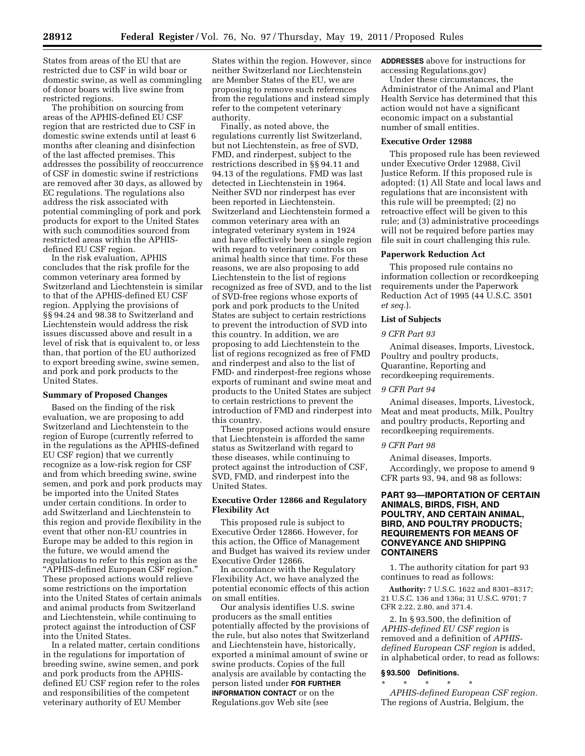States from areas of the EU that are restricted due to CSF in wild boar or domestic swine, as well as commingling of donor boars with live swine from restricted regions.

The prohibition on sourcing from areas of the APHIS-defined EU CSF region that are restricted due to CSF in domestic swine extends until at least 6 months after cleaning and disinfection of the last affected premises. This addresses the possibility of reoccurrence of CSF in domestic swine if restrictions are removed after 30 days, as allowed by EC regulations. The regulations also address the risk associated with potential commingling of pork and pork products for export to the United States with such commodities sourced from restricted areas within the APHISdefined EU CSF region.

In the risk evaluation, APHIS concludes that the risk profile for the common veterinary area formed by Switzerland and Liechtenstein is similar to that of the APHIS-defined EU CSF region. Applying the provisions of §§ 94.24 and 98.38 to Switzerland and Liechtenstein would address the risk issues discussed above and result in a level of risk that is equivalent to, or less than, that portion of the EU authorized to export breeding swine, swine semen, and pork and pork products to the United States.

#### **Summary of Proposed Changes**

Based on the finding of the risk evaluation, we are proposing to add Switzerland and Liechtenstein to the region of Europe (currently referred to in the regulations as the APHIS-defined EU CSF region) that we currently recognize as a low-risk region for CSF and from which breeding swine, swine semen, and pork and pork products may be imported into the United States under certain conditions. In order to add Switzerland and Liechtenstein to this region and provide flexibility in the event that other non-EU countries in Europe may be added to this region in the future, we would amend the regulations to refer to this region as the ''APHIS-defined European CSF region.'' These proposed actions would relieve some restrictions on the importation into the United States of certain animals and animal products from Switzerland and Liechtenstein, while continuing to protect against the introduction of CSF into the United States.

In a related matter, certain conditions in the regulations for importation of breeding swine, swine semen, and pork and pork products from the APHISdefined EU CSF region refer to the roles and responsibilities of the competent veterinary authority of EU Member

States within the region. However, since neither Switzerland nor Liechtenstein are Member States of the EU, we are proposing to remove such references from the regulations and instead simply refer to the competent veterinary authority.

Finally, as noted above, the regulations currently list Switzerland, but not Liechtenstein, as free of SVD, FMD, and rinderpest, subject to the restrictions described in §§ 94.11 and 94.13 of the regulations. FMD was last detected in Liechtenstein in 1964. Neither SVD nor rinderpest has ever been reported in Liechtenstein. Switzerland and Liechtenstein formed a common veterinary area with an integrated veterinary system in 1924 and have effectively been a single region with regard to veterinary controls on animal health since that time. For these reasons, we are also proposing to add Liechtenstein to the list of regions recognized as free of SVD, and to the list of SVD-free regions whose exports of pork and pork products to the United States are subject to certain restrictions to prevent the introduction of SVD into this country. In addition, we are proposing to add Liechtenstein to the list of regions recognized as free of FMD and rinderpest and also to the list of FMD- and rinderpest-free regions whose exports of ruminant and swine meat and products to the United States are subject to certain restrictions to prevent the introduction of FMD and rinderpest into this country.

These proposed actions would ensure that Liechtenstein is afforded the same status as Switzerland with regard to these diseases, while continuing to protect against the introduction of CSF, SVD, FMD, and rinderpest into the United States.

## **Executive Order 12866 and Regulatory Flexibility Act**

This proposed rule is subject to Executive Order 12866. However, for this action, the Office of Management and Budget has waived its review under Executive Order 12866.

In accordance with the Regulatory Flexibility Act, we have analyzed the potential economic effects of this action on small entities.

Our analysis identifies U.S. swine producers as the small entities potentially affected by the provisions of the rule, but also notes that Switzerland and Liechtenstein have, historically, exported a minimal amount of swine or swine products. Copies of the full analysis are available by contacting the person listed under **FOR FURTHER INFORMATION CONTACT** or on the Regulations.gov Web site (see

**ADDRESSES** above for instructions for accessing Regulations.gov)

Under these circumstances, the Administrator of the Animal and Plant Health Service has determined that this action would not have a significant economic impact on a substantial number of small entities.

## **Executive Order 12988**

This proposed rule has been reviewed under Executive Order 12988, Civil Justice Reform. If this proposed rule is adopted: (1) All State and local laws and regulations that are inconsistent with this rule will be preempted; (2) no retroactive effect will be given to this rule; and (3) administrative proceedings will not be required before parties may file suit in court challenging this rule.

#### **Paperwork Reduction Act**

This proposed rule contains no information collection or recordkeeping requirements under the Paperwork Reduction Act of 1995 (44 U.S.C. 3501 *et seq.*).

## **List of Subjects**

#### *9 CFR Part 93*

Animal diseases, Imports, Livestock, Poultry and poultry products, Quarantine, Reporting and recordkeeping requirements.

# *9 CFR Part 94*

Animal diseases, Imports, Livestock, Meat and meat products, Milk, Poultry and poultry products, Reporting and recordkeeping requirements.

#### *9 CFR Part 98*

Animal diseases, Imports. Accordingly, we propose to amend 9 CFR parts 93, 94, and 98 as follows:

# **PART 93—IMPORTATION OF CERTAIN ANIMALS, BIRDS, FISH, AND POULTRY, AND CERTAIN ANIMAL, BIRD, AND POULTRY PRODUCTS; REQUIREMENTS FOR MEANS OF CONVEYANCE AND SHIPPING CONTAINERS**

1. The authority citation for part 93 continues to read as follows:

**Authority:** 7 U.S.C. 1622 and 8301–8317; 21 U.S.C. 136 and 136a; 31 U.S.C. 9701; 7 CFR 2.22, 2.80, and 371.4.

2. In § 93.500, the definition of *APHIS-defined EU CSF region* is removed and a definition of *APHISdefined European CSF region* is added, in alphabetical order, to read as follows:

#### **§ 93.500 Definitions.**

\* \* \* \* \* *APHIS-defined European CSF region.*  The regions of Austria, Belgium, the